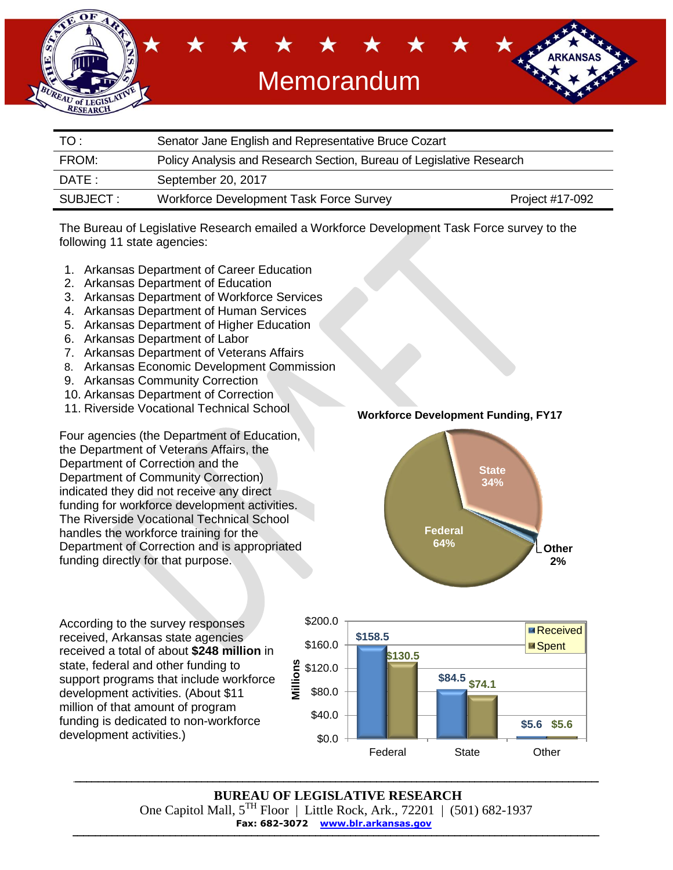

| TO:       | Senator Jane English and Representative Bruce Cozart                 |                 |  |  |
|-----------|----------------------------------------------------------------------|-----------------|--|--|
| FROM:     | Policy Analysis and Research Section, Bureau of Legislative Research |                 |  |  |
| DATE :    | September 20, 2017                                                   |                 |  |  |
| SUBJECT : | <b>Workforce Development Task Force Survey</b>                       | Project #17-092 |  |  |

The Bureau of Legislative Research emailed a Workforce Development Task Force survey to the following 11 state agencies:

- 1. Arkansas Department of Career Education
- 2. Arkansas Department of Education
- 3. Arkansas Department of Workforce Services
- 4. Arkansas Department of Human Services
- 5. Arkansas Department of Higher Education
- 6. Arkansas Department of Labor
- 7. Arkansas Department of Veterans Affairs
- 8. Arkansas Economic Development Commission
- 9. Arkansas Community Correction
- 10. Arkansas Department of Correction
- 11. Riverside Vocational Technical School

Four agencies (the Department of Education, the Department of Veterans Affairs, the Department of Correction and the Department of Community Correction) indicated they did not receive any direct funding for workforce development activities. The Riverside Vocational Technical School handles the workforce training for the Department of Correction and is appropriated funding directly for that purpose.

**Workforce Development Funding, FY17**



According to the survey responses received, Arkansas state agencies received a total of about **\$248 million** in state, federal and other funding to support programs that include workforce development activities. (About \$11 million of that amount of program funding is dedicated to non-workforce development activities.)